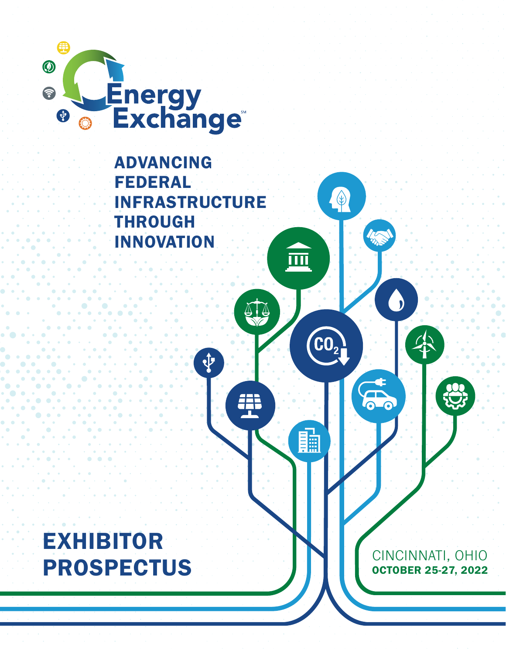

#### ADVANCING FEDERAL INFRASTRUCTURE THROUGH INNOVATION

¢

 $\bigcirc$ 

 $CO<sub>2</sub>$ 

醖

画

ATA

æ

Impo

5

 $\bigodot$ 

EXHIBITOR PROSPECTUS

CINCINNATI, OHIO OCTOBER 25-27, 2022

 $\sum_{i=1}^{n}$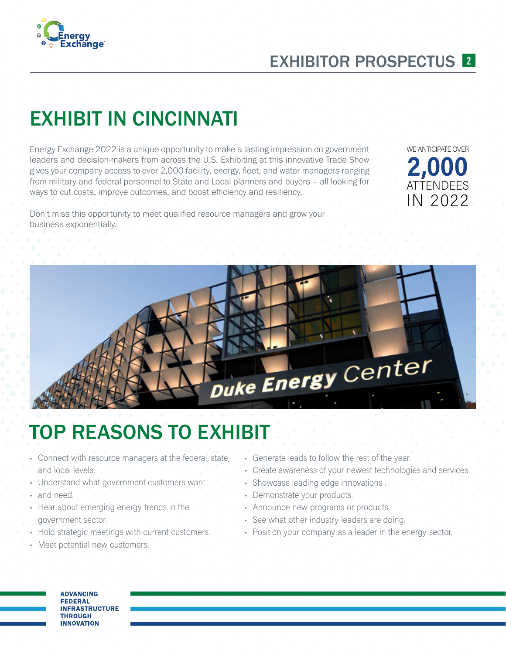

#### EXHIBITOR PROSPECTUS <sup>2</sup>

# EXHIBIT IN CINCINNATI

Energy Exchange 2022 is a unique opportunity to make a lasting impression on government leaders and decision-makers from across the U.S. Exhibiting at this innovative Trade Show gives your company access to over 2,000 facility, energy, fleet, and water managers ranging from military and federal personnel to State and Local planners and buyers – all looking for ways to cut costs, improve outcomes, and boost efficiency and resiliency.

WE ANTICIPATE OVER 2,000 **ATTENDEES** IN 2022

Don't miss this opportunity to meet qualified resource managers and grow your business exponentially.



# TOP REASONS TO EXHIBIT

- Connect with resource managers at the federal, state, and local levels.
- Understand what government customers want
- and need.
- Hear about emerging energy trends in the government sector.
- Hold strategic meetings with current customers.
- Meet potential new customers.
- Generate leads to follow the rest of the year.
- Create awareness of your newest technologies and services.
- Showcase leading edge innovations .
- Demonstrate your products.
- Announce new programs or products.
- See what other industry leaders are doing.
- Position your company as a leader in the energy sector.

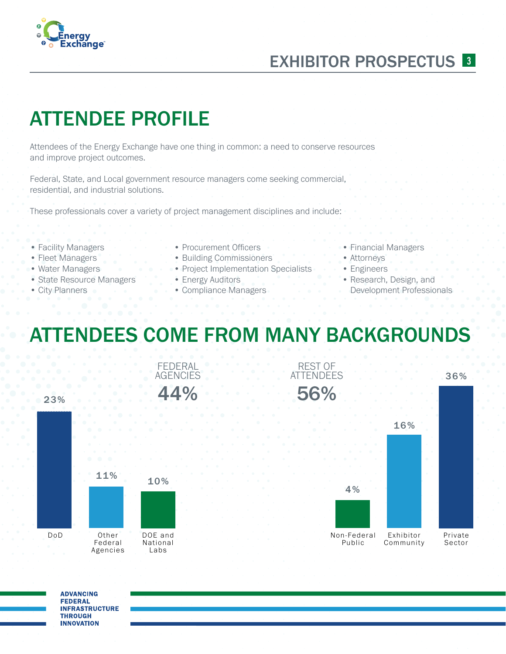#### Energy **Exchange**

### EXHIBITOR PROSPECTUS<sup>3</sup>

# ATTENDEE PROFILE

Attendees of the Energy Exchange have one thing in common: a need to conserve resources and improve project outcomes.

Federal, State, and Local government resource managers come seeking commercial, residential, and industrial solutions.

These professionals cover a variety of project management disciplines and include:

- Facility Managers
- Fleet Managers
- Water Managers
- State Resource Managers
- City Planners
- Procurement Officers
- Building Commissioners
- Project Implementation Specialists
- Energy Auditors
- Compliance Managers
- Financial Managers
- Attorneys
- Engineers
- Research, Design, and Development Professionals

# ATTENDEES COME FROM MANY BACKGROUNDS



**ADVANCING FEDERAL INFRASTRUCTURE THROUGH INNOVATION**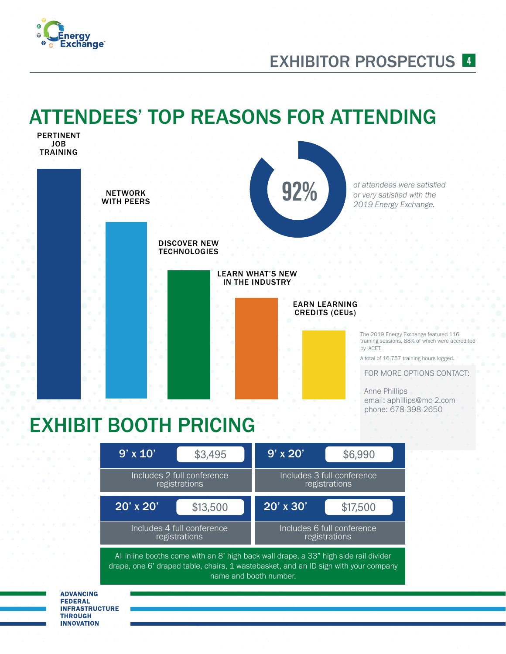

#### EXHIBITOR PROSPECTUS <sup>4</sup>

## ATTENDEES' TOP REASONS FOR ATTENDING



All inline booths come with an  $8'$  high back wall drape, a 33" high side rail divider drape, one 6' draped table, chairs, 1 wastebasket, and an ID sign with your company name and booth number.

registrations

registrations

**ADVANCING FEDERAL INFRASTRUCTURE THROUGH INNOVATION**